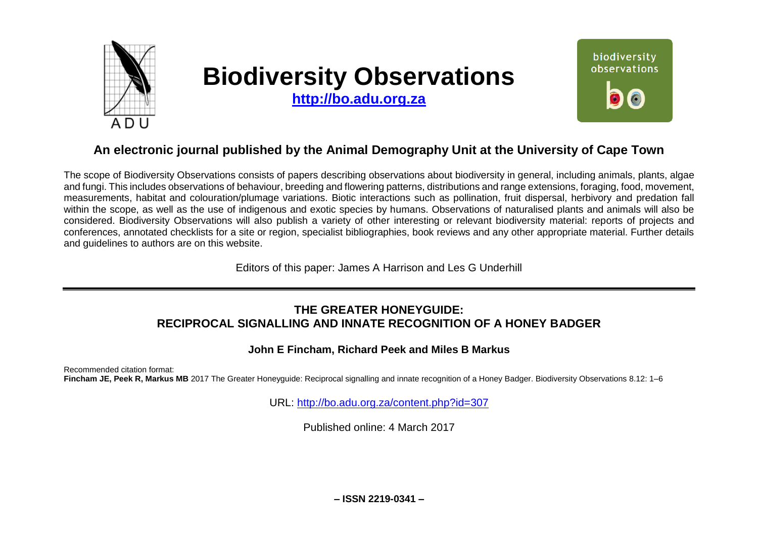

# **Biodiversity Observations**

**[http://bo.adu.org.za](http://bo.adu.org.za/)**



## **An electronic journal published by the Animal Demography Unit at the University of Cape Town**

The scope of Biodiversity Observations consists of papers describing observations about biodiversity in general, including animals, plants, algae and fungi. This includes observations of behaviour, breeding and flowering patterns, distributions and range extensions, foraging, food, movement, measurements, habitat and colouration/plumage variations. Biotic interactions such as pollination, fruit dispersal, herbivory and predation fall within the scope, as well as the use of indigenous and exotic species by humans. Observations of naturalised plants and animals will also be considered. Biodiversity Observations will also publish a variety of other interesting or relevant biodiversity material: reports of projects and conferences, annotated checklists for a site or region, specialist bibliographies, book reviews and any other appropriate material. Further details and guidelines to authors are on this website.

Editors of this paper: James A Harrison and Les G Underhill

### **THE GREATER HONEYGUIDE: RECIPROCAL SIGNALLING AND INNATE RECOGNITION OF A HONEY BADGER**

#### **John E Fincham, Richard Peek and Miles B Markus**

Recommended citation format: Fincham JE, Peek R, Markus MB 2017 The Greater Honeyguide: Reciprocal signalling and innate recognition of a Honey Badger. Biodiversity Observations 8.12: 1–6

URL:<http://bo.adu.org.za/content.php?id=307>

Published online: 4 March 2017

**– ISSN 2219-0341 –**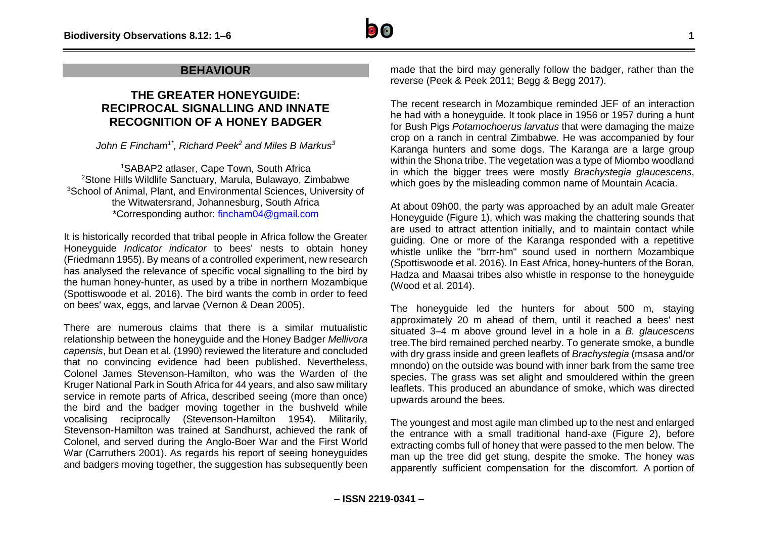#### **BEHAVIOUR**

## **THE GREATER HONEYGUIDE: RECIPROCAL SIGNALLING AND INNATE RECOGNITION OF A HONEY BADGER**

*John E Fincham1\*, Richard Peek<sup>2</sup> and Miles B Markus<sup>3</sup>*

<sup>1</sup>SABAP2 atlaser, Cape Town, South Africa <sup>2</sup>Stone Hills Wildlife Sanctuary, Marula, Bulawayo, Zimbabwe <sup>3</sup>School of Animal, Plant, and Environmental Sciences, University of the Witwatersrand, Johannesburg, South Africa \*Corresponding author: [fincham04@gmail.com](mailto:fincham04@gmail.com)

It is historically recorded that tribal people in Africa follow the Greater Honeyguide *Indicator indicator* to bees' nests to obtain honey (Friedmann 1955). By means of a controlled experiment, new research has analysed the relevance of specific vocal signalling to the bird by the human honey-hunter, as used by a tribe in northern Mozambique (Spottiswoode et al. 2016). The bird wants the comb in order to feed on bees' wax, eggs, and larvae (Vernon & Dean 2005).

There are numerous claims that there is a similar mutualistic relationship between the honeyguide and the Honey Badger *Mellivora capensis*, but Dean et al. (1990) reviewed the literature and concluded that no convincing evidence had been published. Nevertheless, Colonel James Stevenson-Hamilton, who was the Warden of the Kruger National Park in South Africa for 44 years, and also saw military service in remote parts of Africa, described seeing (more than once) the bird and the badger moving together in the bushveld while vocalising reciprocally (Stevenson-Hamilton 1954). Militarily, Stevenson-Hamilton was trained at Sandhurst, achieved the rank of Colonel, and served during the Anglo-Boer War and the First World War (Carruthers 2001). As regards his report of seeing honeyguides and badgers moving together, the suggestion has subsequently been made that the bird may generally follow the badger, rather than the reverse (Peek & Peek 2011; Begg & Begg 2017).

The recent research in Mozambique reminded JEF of an interaction he had with a honeyguide. It took place in 1956 or 1957 during a hunt for Bush Pigs *Potamochoerus larvatus* that were damaging the maize crop on a ranch in central Zimbabwe. He was accompanied by four Karanga hunters and some dogs. The Karanga are a large group within the Shona tribe. The vegetation was a type of Miombo woodland in which the bigger trees were mostly *Brachystegia glaucescens*, which goes by the misleading common name of Mountain Acacia.

At about 09h00, the party was approached by an adult male Greater Honeyguide (Figure 1), which was making the chattering sounds that are used to attract attention initially, and to maintain contact while guiding. One or more of the Karanga responded with a repetitive whistle unlike the "brrr-hm" sound used in northern Mozambique (Spottiswoode et al. 2016). In East Africa, honey-hunters of the Boran, Hadza and Maasai tribes also whistle in response to the honeyguide (Wood et al. 2014).

The honeyguide led the hunters for about 500 m, staying approximately 20 m ahead of them, until it reached a bees' nest situated 3–4 m above ground level in a hole in a *B. glaucescens* tree.The bird remained perched nearby. To generate smoke, a bundle with dry grass inside and green leaflets of *Brachystegia* (msasa and/or mnondo) on the outside was bound with inner bark from the same tree species. The grass was set alight and smouldered within the green leaflets. This produced an abundance of smoke, which was directed upwards around the bees.

The youngest and most agile man climbed up to the nest and enlarged the entrance with a small traditional hand-axe (Figure 2), before extracting combs full of honey that were passed to the men below. The man up the tree did get stung, despite the smoke. The honey was apparently sufficient compensation for the discomfort. A portion of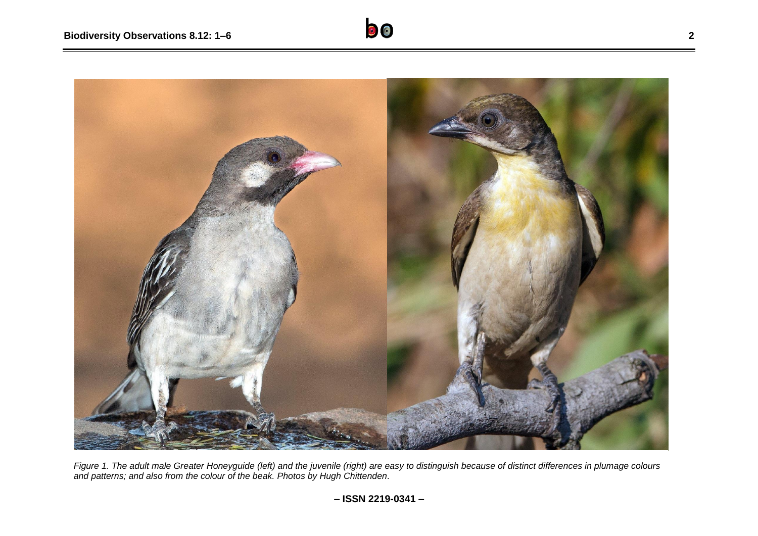

*Figure 1. The adult male Greater Honeyguide (left) and the juvenile (right) are easy to distinguish because of distinct differences in plumage colours and patterns; and also from the colour of the beak. Photos by Hugh Chittenden.*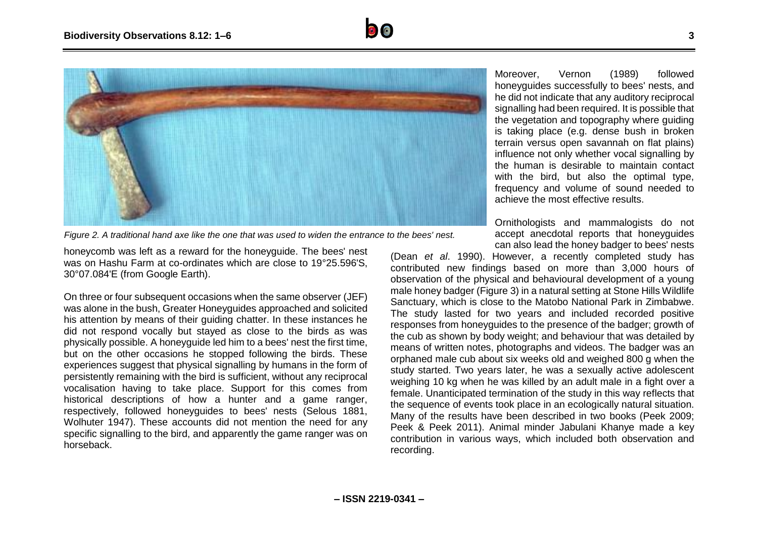



Moreover, Vernon (1989) followed honeyguides successfully to bees' nests, and he did not indicate that any auditory reciprocal signalling had been required. It is possible that the vegetation and topography where guiding is taking place (e.g. dense bush in broken terrain versus open savannah on flat plains) influence not only whether vocal signalling by the human is desirable to maintain contact with the bird, but also the optimal type. frequency and volume of sound needed to achieve the most effective results.

Ornithologists and mammalogists do not accept anecdotal reports that honeyguides can also lead the honey badger to bees' nests

honeycomb was left as a reward for the honeyguide. The bees' nest

was on Hashu Farm at co-ordinates which are close to 19°25.596'S, 30°07.084'E (from Google Earth).

On three or four subsequent occasions when the same observer (JEF) was alone in the bush, Greater Honeyguides approached and solicited his attention by means of their guiding chatter. In these instances he did not respond vocally but stayed as close to the birds as was physically possible. A honeyguide led him to a bees' nest the first time, but on the other occasions he stopped following the birds. These experiences suggest that physical signalling by humans in the form of persistently remaining with the bird is sufficient, without any reciprocal vocalisation having to take place. Support for this comes from historical descriptions of how a hunter and a game ranger, respectively, followed honeyguides to bees' nests (Selous 1881, Wolhuter 1947). These accounts did not mention the need for any specific signalling to the bird, and apparently the game ranger was on horseback.

(Dean *et al*. 1990). However, a recently completed study has contributed new findings based on more than 3,000 hours of observation of the physical and behavioural development of a young male honey badger (Figure 3) in a natural setting at Stone Hills Wildlife Sanctuary, which is close to the Matobo National Park in Zimbabwe. The study lasted for two years and included recorded positive responses from honeyguides to the presence of the badger; growth of the cub as shown by body weight; and behaviour that was detailed by means of written notes, photographs and videos. The badger was an orphaned male cub about six weeks old and weighed 800 g when the study started. Two years later, he was a sexually active adolescent weighing 10 kg when he was killed by an adult male in a fight over a female. Unanticipated termination of the study in this way reflects that the sequence of events took place in an ecologically natural situation. Many of the results have been described in two books (Peek 2009; Peek & Peek 2011). Animal minder Jabulani Khanye made a key contribution in various ways, which included both observation and recording.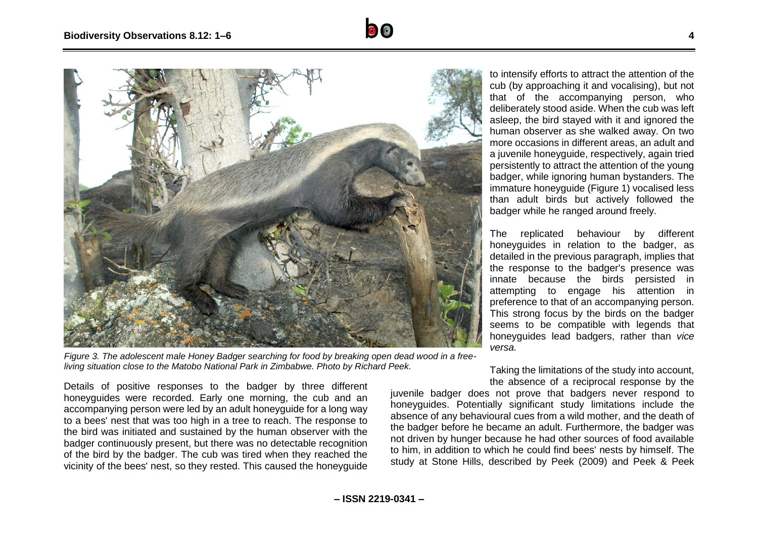



*Figure 3. The adolescent male Honey Badger searching for food by breaking open dead wood in a freeliving situation close to the Matobo National Park in Zimbabwe. Photo by Richard Peek.*

Details of positive responses to the badger by three different honeyguides were recorded. Early one morning, the cub and an accompanying person were led by an adult honeyguide for a long way to a bees' nest that was too high in a tree to reach. The response to the bird was initiated and sustained by the human observer with the badger continuously present, but there was no detectable recognition of the bird by the badger. The cub was tired when they reached the vicinity of the bees' nest, so they rested. This caused the honeyguide

to intensify efforts to attract the attention of the cub (by approaching it and vocalising), but not that of the accompanying person, who deliberately stood aside. When the cub was left asleep, the bird stayed with it and ignored the human observer as she walked away. On two more occasions in different areas, an adult and a juvenile honeyguide, respectively, again tried persistently to attract the attention of the young badger, while ignoring human bystanders. The immature honeyguide (Figure 1) vocalised less than adult birds but actively followed the badger while he ranged around freely.

The replicated behaviour by different honeyguides in relation to the badger, as detailed in the previous paragraph, implies that the response to the badger's presence was innate because the birds persisted in attempting to engage his attention in preference to that of an accompanying person. This strong focus by the birds on the badger seems to be compatible with legends that honeyguides lead badgers, rather than *vice versa.*

Taking the limitations of the study into account, the absence of a reciprocal response by the

iuvenile badger does not prove that badgers never respond to honeyguides. Potentially significant study limitations include the absence of any behavioural cues from a wild mother, and the death of the badger before he became an adult. Furthermore, the badger was not driven by hunger because he had other sources of food available to him, in addition to which he could find bees' nests by himself. The study at Stone Hills, described by Peek (2009) and Peek & Peek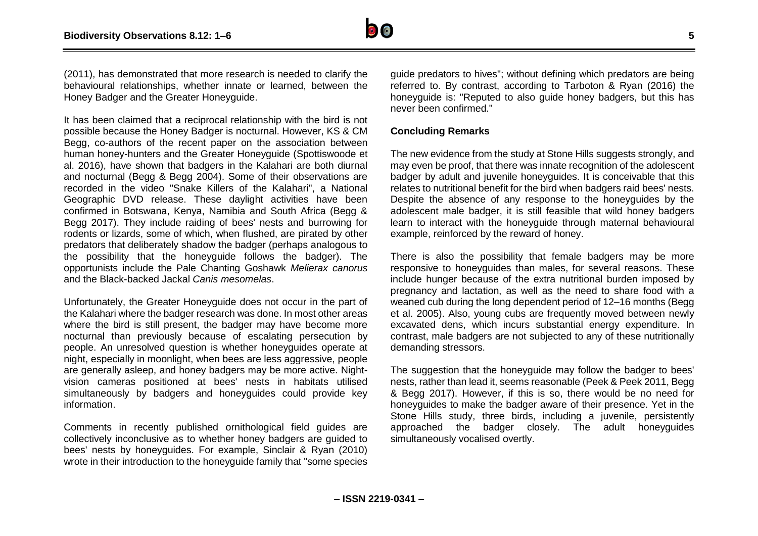

(2011), has demonstrated that more research is needed to clarify the behavioural relationships, whether innate or learned, between the Honey Badger and the Greater Honeyguide.

It has been claimed that a reciprocal relationship with the bird is not possible because the Honey Badger is nocturnal. However, KS & CM Begg, co-authors of the recent paper on the association between human honey-hunters and the Greater Honeyguide (Spottiswoode et al. 2016), have shown that badgers in the Kalahari are both diurnal and nocturnal (Begg & Begg 2004). Some of their observations are recorded in the video "Snake Killers of the Kalahari", a National Geographic DVD release. These daylight activities have been confirmed in Botswana, Kenya, Namibia and South Africa (Begg & Begg 2017). They include raiding of bees' nests and burrowing for rodents or lizards, some of which, when flushed, are pirated by other predators that deliberately shadow the badger (perhaps analogous to the possibility that the honeyguide follows the badger). The opportunists include the Pale Chanting Goshawk *Melierax canorus* and the Black-backed Jackal *Canis mesomelas*.

Unfortunately, the Greater Honeyguide does not occur in the part of the Kalahari where the badger research was done. In most other areas where the bird is still present, the badger may have become more nocturnal than previously because of escalating persecution by people. An unresolved question is whether honeyguides operate at night, especially in moonlight, when bees are less aggressive, people are generally asleep, and honey badgers may be more active. Nightvision cameras positioned at bees' nests in habitats utilised simultaneously by badgers and honeyguides could provide key information.

Comments in recently published ornithological field guides are collectively inconclusive as to whether honey badgers are guided to bees' nests by honeyguides. For example, Sinclair & Ryan (2010) wrote in their introduction to the honeyguide family that "some species

guide predators to hives"; without defining which predators are being referred to. By contrast, according to Tarboton & Ryan (2016) the honeyquide is: "Reputed to also quide honey badgers, but this has never been confirmed."

#### **Concluding Remarks**

The new evidence from the study at Stone Hills suggests strongly, and may even be proof, that there was innate recognition of the adolescent badger by adult and juvenile honeyguides. It is conceivable that this relates to nutritional benefit for the bird when badgers raid bees' nests. Despite the absence of any response to the honeyguides by the adolescent male badger, it is still feasible that wild honey badgers learn to interact with the honeyguide through maternal behavioural example, reinforced by the reward of honey.

There is also the possibility that female badgers may be more responsive to honeyguides than males, for several reasons. These include hunger because of the extra nutritional burden imposed by pregnancy and lactation, as well as the need to share food with a weaned cub during the long dependent period of 12–16 months (Begg et al. 2005). Also, young cubs are frequently moved between newly excavated dens, which incurs substantial energy expenditure. In contrast, male badgers are not subjected to any of these nutritionally demanding stressors.

The suggestion that the honeyguide may follow the badger to bees' nests, rather than lead it, seems reasonable (Peek & Peek 2011, Begg & Begg 2017). However, if this is so, there would be no need for honeyguides to make the badger aware of their presence. Yet in the Stone Hills study, three birds, including a juvenile, persistently approached the badger closely. The adult honeyguides simultaneously vocalised overtly.